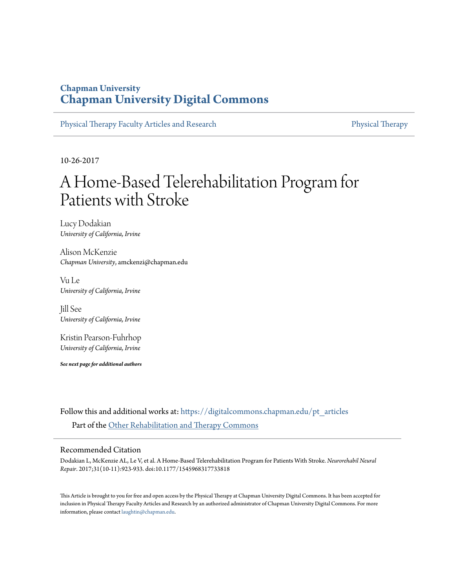# **Chapman University [Chapman University Digital Commons](https://digitalcommons.chapman.edu?utm_source=digitalcommons.chapman.edu%2Fpt_articles%2F106&utm_medium=PDF&utm_campaign=PDFCoverPages)**

[Physical Therapy Faculty Articles and Research](https://digitalcommons.chapman.edu/pt_articles?utm_source=digitalcommons.chapman.edu%2Fpt_articles%2F106&utm_medium=PDF&utm_campaign=PDFCoverPages) [Physical Therapy](https://digitalcommons.chapman.edu/physicaltherapy?utm_source=digitalcommons.chapman.edu%2Fpt_articles%2F106&utm_medium=PDF&utm_campaign=PDFCoverPages)

10-26-2017

# A Home-Based Telerehabilitation Program for Patients with Stroke

Lucy Dodakian *University of California, Irvine*

Alison McKenzie *Chapman University*, amckenzi@chapman.edu

Vu Le *University of California, Irvine*

Jill See *University of California, Irvine*

Kristin Pearson-Fuhrhop *University of California, Irvine*

*See next page for additional authors*

Follow this and additional works at: [https://digitalcommons.chapman.edu/pt\\_articles](https://digitalcommons.chapman.edu/pt_articles?utm_source=digitalcommons.chapman.edu%2Fpt_articles%2F106&utm_medium=PDF&utm_campaign=PDFCoverPages) Part of the [Other Rehabilitation and Therapy Commons](http://network.bepress.com/hgg/discipline/758?utm_source=digitalcommons.chapman.edu%2Fpt_articles%2F106&utm_medium=PDF&utm_campaign=PDFCoverPages)

#### Recommended Citation

Dodakian L, McKenzie AL, Le V, et al. A Home-Based Telerehabilitation Program for Patients With Stroke. *Neurorehabil Neural Repair*. 2017;31(10-11):923-933. doi:10.1177/1545968317733818

This Article is brought to you for free and open access by the Physical Therapy at Chapman University Digital Commons. It has been accepted for inclusion in Physical Therapy Faculty Articles and Research by an authorized administrator of Chapman University Digital Commons. For more information, please contact [laughtin@chapman.edu](mailto:laughtin@chapman.edu).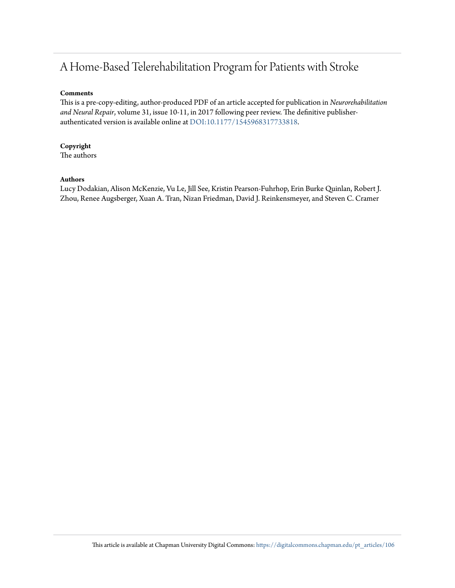# A Home-Based Telerehabilitation Program for Patients with Stroke

#### **Comments**

This is a pre-copy-editing, author-produced PDF of an article accepted for publication in *Neurorehabilitation and Neural Repair*, volume 31, issue 10-11, in 2017 following peer review. The definitive publisherauthenticated version is available online at [DOI:10.1177/1545968317733818.](https://doi.org/10.1177/1545968317733818)

# **Copyright**

The authors

### **Authors**

Lucy Dodakian, Alison McKenzie, Vu Le, Jill See, Kristin Pearson-Fuhrhop, Erin Burke Quinlan, Robert J. Zhou, Renee Augsberger, Xuan A. Tran, Nizan Friedman, David J. Reinkensmeyer, and Steven C. Cramer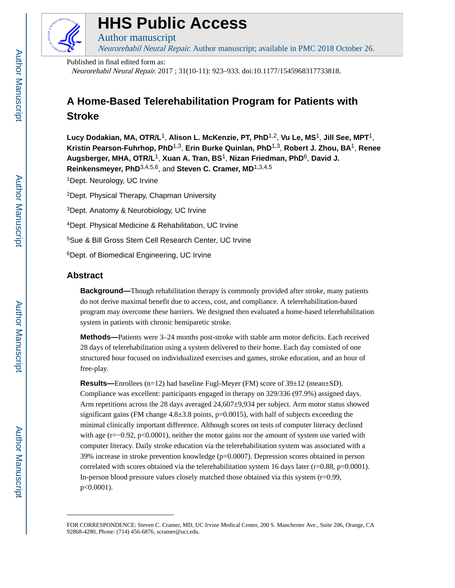

# **HHS Public Access**

Author manuscript Neurorehabil Neural Repair. Author manuscript; available in PMC 2018 October 26.

Published in final edited form as:

Neurorehabil Neural Repair. 2017 ; 31(10-11): 923–933. doi:10.1177/1545968317733818.

# **A Home-Based Telerehabilitation Program for Patients with Stroke**

**Lucy Dodakian, MA, OTR/L**1, **Alison L. McKenzie, PT, PhD**1,2, **Vu Le, MS**1, **Jill See, MPT**1, **Kristin Pearson-Fuhrhop, PhD**1,3, **Erin Burke Quinlan, PhD**1,3, **Robert J. Zhou, BA**1, **Renee Augsberger, MHA, OTR/L**1, **Xuan A. Tran, BS**1, **Nizan Friedman, PhD**6, **David J. Reinkensmeyer, PhD**3,4,5,6, and **Steven C. Cramer, MD**1,3,4,5

<sup>1</sup>Dept. Neurology, UC Irvine

<sup>2</sup>Dept. Physical Therapy, Chapman University

<sup>3</sup>Dept. Anatomy & Neurobiology, UC Irvine

<sup>4</sup>Dept. Physical Medicine & Rehabilitation, UC Irvine

<sup>5</sup>Sue & Bill Gross Stem Cell Research Center, UC Irvine

<sup>6</sup>Dept. of Biomedical Engineering, UC Irvine

# **Abstract**

**Background—**Though rehabilitation therapy is commonly provided after stroke, many patients do not derive maximal benefit due to access, cost, and compliance. A telerehabilitation-based program may overcome these barriers. We designed then evaluated a home-based telerehabilitation system in patients with chronic hemiparetic stroke.

**Methods—**Patients were 3–24 months post-stroke with stable arm motor deficits. Each received 28 days of telerehabilitation using a system delivered to their home. Each day consisted of one structured hour focused on individualized exercises and games, stroke education, and an hour of free-play.

**Results—**Enrollees (n=12) had baseline Fugl-Meyer (FM) score of 39±12 (mean±SD). Compliance was excellent: participants engaged in therapy on 329/336 (97.9%) assigned days. Arm repetitions across the 28 days averaged  $24,607\pm9,934$  per subject. Arm motor status showed significant gains (FM change  $4.8\pm3.8$  points, p=0.0015), with half of subjects exceeding the minimal clinically important difference. Although scores on tests of computer literacy declined with age  $(r=-0.92, p<0.0001)$ , neither the motor gains nor the amount of system use varied with computer literacy. Daily stroke education via the telerehabilitation system was associated with a 39% increase in stroke prevention knowledge (p=0.0007). Depression scores obtained in person correlated with scores obtained via the telerehabilitation system 16 days later ( $r=0.88$ ,  $p=0.0001$ ). In-person blood pressure values closely matched those obtained via this system (r=0.99, p<0.0001).

FOR CORRESPONDENCE: Steven C. Cramer, MD, UC Irvine Medical Center, 200 S. Manchester Ave., Suite 206, Orange, CA 92868-4280, Phone: (714) 456-6876, scramer@uci.edu.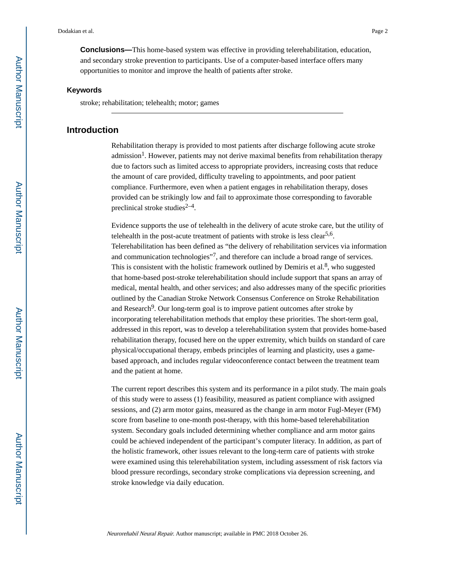**Conclusions—**This home-based system was effective in providing telerehabilitation, education, and secondary stroke prevention to participants. Use of a computer-based interface offers many opportunities to monitor and improve the health of patients after stroke.

#### **Keywords**

stroke; rehabilitation; telehealth; motor; games

#### **Introduction**

Rehabilitation therapy is provided to most patients after discharge following acute stroke admission<sup>1</sup>. However, patients may not derive maximal benefits from rehabilitation therapy due to factors such as limited access to appropriate providers, increasing costs that reduce the amount of care provided, difficulty traveling to appointments, and poor patient compliance. Furthermore, even when a patient engages in rehabilitation therapy, doses provided can be strikingly low and fail to approximate those corresponding to favorable preclinical stroke studies $2-4$ .

Evidence supports the use of telehealth in the delivery of acute stroke care, but the utility of telehealth in the post-acute treatment of patients with stroke is less clear<sup>5,6</sup>. Telerehabilitation has been defined as "the delivery of rehabilitation services via information and communication technologies"<sup>7</sup>, and therefore can include a broad range of services. This is consistent with the holistic framework outlined by Demiris et al. $8$ , who suggested that home-based post-stroke telerehabilitation should include support that spans an array of medical, mental health, and other services; and also addresses many of the specific priorities outlined by the Canadian Stroke Network Consensus Conference on Stroke Rehabilitation and Research<sup>9</sup>. Our long-term goal is to improve patient outcomes after stroke by incorporating telerehabilitation methods that employ these priorities. The short-term goal, addressed in this report, was to develop a telerehabilitation system that provides home-based rehabilitation therapy, focused here on the upper extremity, which builds on standard of care physical/occupational therapy, embeds principles of learning and plasticity, uses a gamebased approach, and includes regular videoconference contact between the treatment team and the patient at home.

The current report describes this system and its performance in a pilot study. The main goals of this study were to assess (1) feasibility, measured as patient compliance with assigned sessions, and (2) arm motor gains, measured as the change in arm motor Fugl-Meyer (FM) score from baseline to one-month post-therapy, with this home-based telerehabilitation system. Secondary goals included determining whether compliance and arm motor gains could be achieved independent of the participant's computer literacy. In addition, as part of the holistic framework, other issues relevant to the long-term care of patients with stroke were examined using this telerehabilitation system, including assessment of risk factors via blood pressure recordings, secondary stroke complications via depression screening, and stroke knowledge via daily education.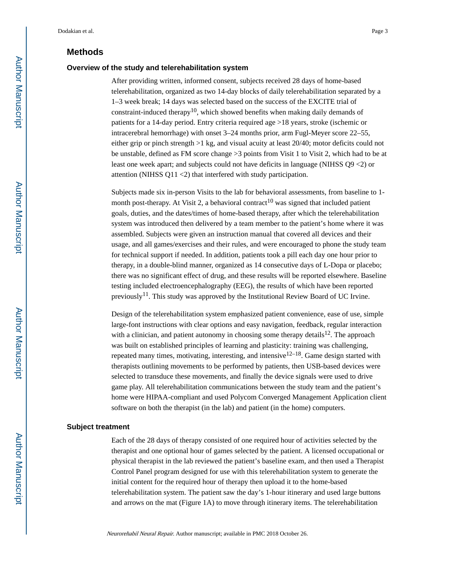## **Methods**

#### **Overview of the study and telerehabilitation system**

After providing written, informed consent, subjects received 28 days of home-based telerehabilitation, organized as two 14-day blocks of daily telerehabilitation separated by a 1–3 week break; 14 days was selected based on the success of the EXCITE trial of constraint-induced therapy<sup>10</sup>, which showed benefits when making daily demands of patients for a 14-day period. Entry criteria required age >18 years, stroke (ischemic or intracerebral hemorrhage) with onset 3–24 months prior, arm Fugl-Meyer score 22–55, either grip or pinch strength >1 kg, and visual acuity at least 20/40; motor deficits could not be unstable, defined as FM score change >3 points from Visit 1 to Visit 2, which had to be at least one week apart; and subjects could not have deficits in language (NIHSS Q9 <2) or attention (NIHSS Q11 <2) that interfered with study participation.

Subjects made six in-person Visits to the lab for behavioral assessments, from baseline to 1 month post-therapy. At Visit 2, a behavioral contract<sup>10</sup> was signed that included patient goals, duties, and the dates/times of home-based therapy, after which the telerehabilitation system was introduced then delivered by a team member to the patient's home where it was assembled. Subjects were given an instruction manual that covered all devices and their usage, and all games/exercises and their rules, and were encouraged to phone the study team for technical support if needed. In addition, patients took a pill each day one hour prior to therapy, in a double-blind manner, organized as 14 consecutive days of L-Dopa or placebo; there was no significant effect of drug, and these results will be reported elsewhere. Baseline testing included electroencephalography (EEG), the results of which have been reported previously<sup>11</sup>. This study was approved by the Institutional Review Board of UC Irvine.

Design of the telerehabilitation system emphasized patient convenience, ease of use, simple large-font instructions with clear options and easy navigation, feedback, regular interaction with a clinician, and patient autonomy in choosing some therapy details<sup>12</sup>. The approach was built on established principles of learning and plasticity: training was challenging, repeated many times, motivating, interesting, and intensive  $12-18$ . Game design started with therapists outlining movements to be performed by patients, then USB-based devices were selected to transduce these movements, and finally the device signals were used to drive game play. All telerehabilitation communications between the study team and the patient's home were HIPAA-compliant and used Polycom Converged Management Application client software on both the therapist (in the lab) and patient (in the home) computers.

#### **Subject treatment**

Each of the 28 days of therapy consisted of one required hour of activities selected by the therapist and one optional hour of games selected by the patient. A licensed occupational or physical therapist in the lab reviewed the patient's baseline exam, and then used a Therapist Control Panel program designed for use with this telerehabilitation system to generate the initial content for the required hour of therapy then upload it to the home-based telerehabilitation system. The patient saw the day's 1-hour itinerary and used large buttons and arrows on the mat (Figure 1A) to move through itinerary items. The telerehabilitation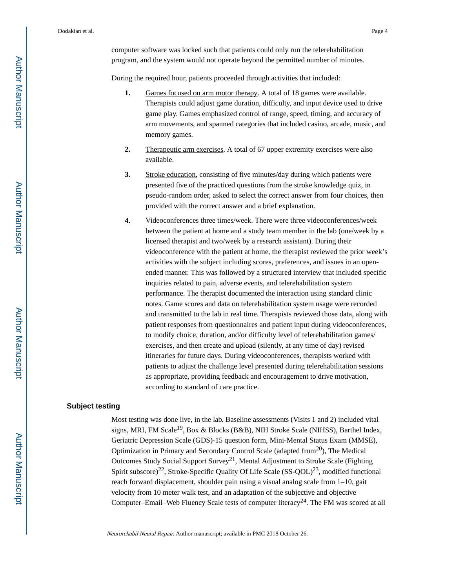computer software was locked such that patients could only run the telerehabilitation program, and the system would not operate beyond the permitted number of minutes.

During the required hour, patients proceeded through activities that included:

- **1.** Games focused on arm motor therapy. A total of 18 games were available. Therapists could adjust game duration, difficulty, and input device used to drive game play. Games emphasized control of range, speed, timing, and accuracy of arm movements, and spanned categories that included casino, arcade, music, and memory games.
- **2.** Therapeutic arm exercises. A total of 67 upper extremity exercises were also available.
- **3.** Stroke education, consisting of five minutes/day during which patients were presented five of the practiced questions from the stroke knowledge quiz, in pseudo-random order, asked to select the correct answer from four choices, then provided with the correct answer and a brief explanation.
- **4.** Videoconferences three times/week. There were three videoconferences/week between the patient at home and a study team member in the lab (one/week by a licensed therapist and two/week by a research assistant). During their videoconference with the patient at home, the therapist reviewed the prior week's activities with the subject including scores, preferences, and issues in an openended manner. This was followed by a structured interview that included specific inquiries related to pain, adverse events, and telerehabilitation system performance. The therapist documented the interaction using standard clinic notes. Game scores and data on telerehabilitation system usage were recorded and transmitted to the lab in real time. Therapists reviewed those data, along with patient responses from questionnaires and patient input during videoconferences, to modify choice, duration, and/or difficulty level of telerehabilitation games/ exercises, and then create and upload (silently, at any time of day) revised itineraries for future days. During videoconferences, therapists worked with patients to adjust the challenge level presented during telerehabilitation sessions as appropriate, providing feedback and encouragement to drive motivation, according to standard of care practice.

#### **Subject testing**

Most testing was done live, in the lab. Baseline assessments (Visits 1 and 2) included vital signs, MRI, FM Scale<sup>19</sup>, Box & Blocks (B&B), NIH Stroke Scale (NIHSS), Barthel Index, Geriatric Depression Scale (GDS)-15 question form, Mini-Mental Status Exam (MMSE), Optimization in Primary and Secondary Control Scale (adapted from  $20$ ), The Medical Outcomes Study Social Support Survey<sup>21</sup>, Mental Adjustment to Stroke Scale (Fighting) Spirit subscore)<sup>22</sup>, Stroke-Specific Quality Of Life Scale (SS-QOL)<sup>23</sup>, modified functional reach forward displacement, shoulder pain using a visual analog scale from 1–10, gait velocity from 10 meter walk test, and an adaptation of the subjective and objective Computer–Email–Web Fluency Scale tests of computer literacy24. The FM was scored at all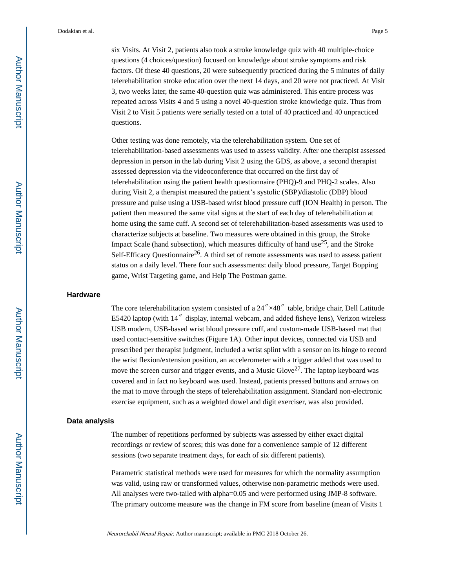six Visits. At Visit 2, patients also took a stroke knowledge quiz with 40 multiple-choice questions (4 choices/question) focused on knowledge about stroke symptoms and risk factors. Of these 40 questions, 20 were subsequently practiced during the 5 minutes of daily telerehabilitation stroke education over the next 14 days, and 20 were not practiced. At Visit 3, two weeks later, the same 40-question quiz was administered. This entire process was repeated across Visits 4 and 5 using a novel 40-question stroke knowledge quiz. Thus from Visit 2 to Visit 5 patients were serially tested on a total of 40 practiced and 40 unpracticed questions.

Other testing was done remotely, via the telerehabilitation system. One set of telerehabilitation-based assessments was used to assess validity. After one therapist assessed depression in person in the lab during Visit 2 using the GDS, as above, a second therapist assessed depression via the videoconference that occurred on the first day of telerehabilitation using the patient health questionnaire (PHQ)-9 and PHQ-2 scales. Also during Visit 2, a therapist measured the patient's systolic (SBP)/diastolic (DBP) blood pressure and pulse using a USB-based wrist blood pressure cuff (ION Health) in person. The patient then measured the same vital signs at the start of each day of telerehabilitation at home using the same cuff. A second set of telerehabilitation-based assessments was used to characterize subjects at baseline. Two measures were obtained in this group, the Stroke Impact Scale (hand subsection), which measures difficulty of hand use<sup>25</sup>, and the Stroke Self-Efficacy Questionnaire<sup>26</sup>. A third set of remote assessments was used to assess patient status on a daily level. There four such assessments: daily blood pressure, Target Bopping game, Wrist Targeting game, and Help The Postman game.

#### **Hardware**

The core telerehabilitation system consisted of a 24"×48" table, bridge chair, Dell Latitude E5420 laptop (with 14″ display, internal webcam, and added fisheye lens), Verizon wireless USB modem, USB-based wrist blood pressure cuff, and custom-made USB-based mat that used contact-sensitive switches (Figure 1A). Other input devices, connected via USB and prescribed per therapist judgment, included a wrist splint with a sensor on its hinge to record the wrist flexion/extension position, an accelerometer with a trigger added that was used to move the screen cursor and trigger events, and a Music Glove<sup>27</sup>. The laptop keyboard was covered and in fact no keyboard was used. Instead, patients pressed buttons and arrows on the mat to move through the steps of telerehabilitation assignment. Standard non-electronic exercise equipment, such as a weighted dowel and digit exerciser, was also provided.

#### **Data analysis**

The number of repetitions performed by subjects was assessed by either exact digital recordings or review of scores; this was done for a convenience sample of 12 different sessions (two separate treatment days, for each of six different patients).

Parametric statistical methods were used for measures for which the normality assumption was valid, using raw or transformed values, otherwise non-parametric methods were used. All analyses were two-tailed with alpha=0.05 and were performed using JMP-8 software. The primary outcome measure was the change in FM score from baseline (mean of Visits 1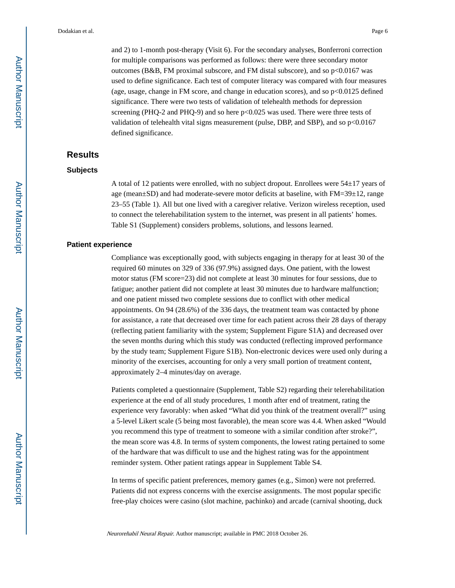and 2) to 1-month post-therapy (Visit 6). For the secondary analyses, Bonferroni correction for multiple comparisons was performed as follows: there were three secondary motor outcomes (B&B, FM proximal subscore, and FM distal subscore), and so  $p<0.0167$  was used to define significance. Each test of computer literacy was compared with four measures (age, usage, change in FM score, and change in education scores), and so p<0.0125 defined significance. There were two tests of validation of telehealth methods for depression screening (PHQ-2 and PHQ-9) and so here p<0.025 was used. There were three tests of validation of telehealth vital signs measurement (pulse, DBP, and SBP), and so p<0.0167 defined significance.

# **Results**

#### **Subjects**

A total of 12 patients were enrolled, with no subject dropout. Enrollees were 54±17 years of age (mean±SD) and had moderate-severe motor deficits at baseline, with FM=39±12, range 23–55 (Table 1). All but one lived with a caregiver relative. Verizon wireless reception, used to connect the telerehabilitation system to the internet, was present in all patients' homes. Table S1 (Supplement) considers problems, solutions, and lessons learned.

#### **Patient experience**

Compliance was exceptionally good, with subjects engaging in therapy for at least 30 of the required 60 minutes on 329 of 336 (97.9%) assigned days. One patient, with the lowest motor status (FM score=23) did not complete at least 30 minutes for four sessions, due to fatigue; another patient did not complete at least 30 minutes due to hardware malfunction; and one patient missed two complete sessions due to conflict with other medical appointments. On 94 (28.6%) of the 336 days, the treatment team was contacted by phone for assistance, a rate that decreased over time for each patient across their 28 days of therapy (reflecting patient familiarity with the system; Supplement Figure S1A) and decreased over the seven months during which this study was conducted (reflecting improved performance by the study team; Supplement Figure S1B). Non-electronic devices were used only during a minority of the exercises, accounting for only a very small portion of treatment content, approximately 2–4 minutes/day on average.

Patients completed a questionnaire (Supplement, Table S2) regarding their telerehabilitation experience at the end of all study procedures, 1 month after end of treatment, rating the experience very favorably: when asked "What did you think of the treatment overall?" using a 5-level Likert scale (5 being most favorable), the mean score was 4.4. When asked "Would you recommend this type of treatment to someone with a similar condition after stroke?", the mean score was 4.8. In terms of system components, the lowest rating pertained to some of the hardware that was difficult to use and the highest rating was for the appointment reminder system. Other patient ratings appear in Supplement Table S4.

In terms of specific patient preferences, memory games (e.g., Simon) were not preferred. Patients did not express concerns with the exercise assignments. The most popular specific free-play choices were casino (slot machine, pachinko) and arcade (carnival shooting, duck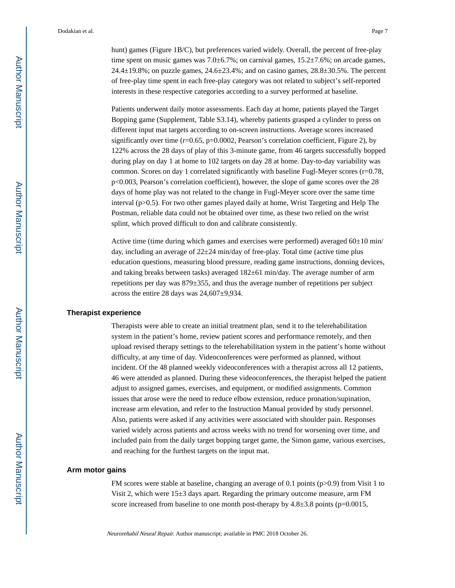hunt) games (Figure 1B/C), but preferences varied widely. Overall, the percent of free-play time spent on music games was  $7.0 \pm 6.7$ %; on carnival games,  $15.2 \pm 7.6$ %; on arcade games,  $24.4\pm19.8\%$ ; on puzzle games,  $24.6\pm23.4\%$ ; and on casino games,  $28.8\pm30.5\%$ . The percent of free-play time spent in each free-play category was not related to subject's self-reported interests in these respective categories according to a survey performed at baseline.

Patients underwent daily motor assessments. Each day at home, patients played the Target Bopping game (Supplement, Table S3.14), whereby patients grasped a cylinder to press on different input mat targets according to on-screen instructions. Average scores increased significantly over time  $(r=0.65, p=0.0002,$  Pearson's correlation coefficient, Figure 2), by 122% across the 28 days of play of this 3-minute game, from 46 targets successfully bopped during play on day 1 at home to 102 targets on day 28 at home. Day-to-day variability was common. Scores on day 1 correlated significantly with baseline Fugl-Meyer scores (r=0.78, p<0.003, Pearson's correlation coefficient), however, the slope of game scores over the 28 days of home play was not related to the change in Fugl-Meyer score over the same time interval (p>0.5). For two other games played daily at home, Wrist Targeting and Help The Postman, reliable data could not be obtained over time, as these two relied on the wrist splint, which proved difficult to don and calibrate consistently.

Active time (time during which games and exercises were performed) averaged  $60±10$  min/ day, including an average of  $22\pm24$  min/day of free-play. Total time (active time plus education questions, measuring blood pressure, reading game instructions, donning devices, and taking breaks between tasks) averaged 182±61 min/day. The average number of arm repetitions per day was 879±355, and thus the average number of repetitions per subject across the entire 28 days was 24,607±9,934.

#### **Therapist experience**

Therapists were able to create an initial treatment plan, send it to the telerehabilitation system in the patient's home, review patient scores and performance remotely, and then upload revised therapy settings to the telerehabilitation system in the patient's home without difficulty, at any time of day. Videoconferences were performed as planned, without incident. Of the 48 planned weekly videoconferences with a therapist across all 12 patients, 46 were attended as planned. During these videoconferences, the therapist helped the patient adjust to assigned games, exercises, and equipment, or modified assignments. Common issues that arose were the need to reduce elbow extension, reduce pronation/supination, increase arm elevation, and refer to the Instruction Manual provided by study personnel. Also, patients were asked if any activities were associated with shoulder pain. Responses varied widely across patients and across weeks with no trend for worsening over time, and included pain from the daily target bopping target game, the Simon game, various exercises, and reaching for the furthest targets on the input mat.

#### **Arm motor gains**

FM scores were stable at baseline, changing an average of 0.1 points (p>0.9) from Visit 1 to Visit 2, which were 15±3 days apart. Regarding the primary outcome measure, arm FM score increased from baseline to one month post-therapy by  $4.8\pm3.8$  points (p=0.0015,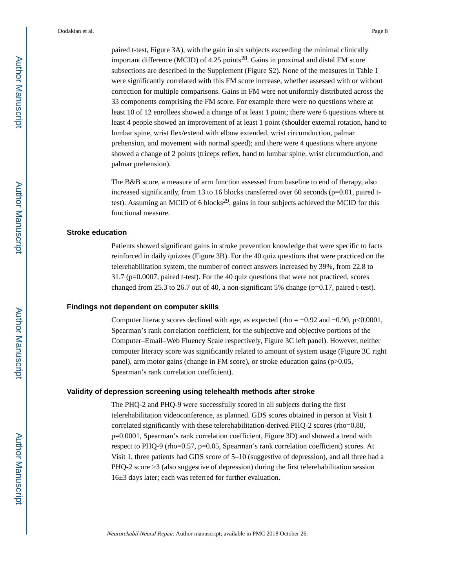paired t-test, Figure 3A), with the gain in six subjects exceeding the minimal clinically important difference (MCID) of 4.25 points<sup>28</sup>. Gains in proximal and distal FM score subsections are described in the Supplement (Figure S2). None of the measures in Table 1 were significantly correlated with this FM score increase, whether assessed with or without correction for multiple comparisons. Gains in FM were not uniformly distributed across the 33 components comprising the FM score. For example there were no questions where at least 10 of 12 enrollees showed a change of at least 1 point; there were 6 questions where at least 4 people showed an improvement of at least 1 point (shoulder external rotation, hand to lumbar spine, wrist flex/extend with elbow extended, wrist circumduction, palmar prehension, and movement with normal speed); and there were 4 questions where anyone showed a change of 2 points (triceps reflex, hand to lumbar spine, wrist circumduction, and palmar prehension).

The B&B score, a measure of arm function assessed from baseline to end of therapy, also increased significantly, from 13 to 16 blocks transferred over 60 seconds (p=0.01, paired ttest). Assuming an MCID of 6 blocks<sup>29</sup>, gains in four subjects achieved the MCID for this functional measure.

#### **Stroke education**

Patients showed significant gains in stroke prevention knowledge that were specific to facts reinforced in daily quizzes (Figure 3B). For the 40 quiz questions that were practiced on the telerehabilitation system, the number of correct answers increased by 39%, from 22.8 to 31.7 (p=0.0007, paired t-test). For the 40 quiz questions that were not practiced, scores changed from 25.3 to 26.7 out of 40, a non-significant 5% change ( $p=0.17$ , paired t-test).

#### **Findings not dependent on computer skills**

Computer literacy scores declined with age, as expected (rho = −0.92 and −0.90, p<0.0001, Spearman's rank correlation coefficient, for the subjective and objective portions of the Computer–Email–Web Fluency Scale respectively, Figure 3C left panel). However, neither computer literacy score was significantly related to amount of system usage (Figure 3C right panel), arm motor gains (change in FM score), or stroke education gains (p>0.05, Spearman's rank correlation coefficient).

#### **Validity of depression screening using telehealth methods after stroke**

The PHQ-2 and PHQ-9 were successfully scored in all subjects during the first telerehabilitation videoconference, as planned. GDS scores obtained in person at Visit 1 correlated significantly with these telerehabilitation-derived PHQ-2 scores (rho=0.88, p=0.0001, Spearman's rank correlation coefficient, Figure 3D) and showed a trend with respect to PHQ-9 (rho=0.57, p=0.05, Spearman's rank correlation coefficient) scores. At Visit 1, three patients had GDS score of 5–10 (suggestive of depression), and all three had a PHQ-2 score >3 (also suggestive of depression) during the first telerehabilitation session 16±3 days later; each was referred for further evaluation.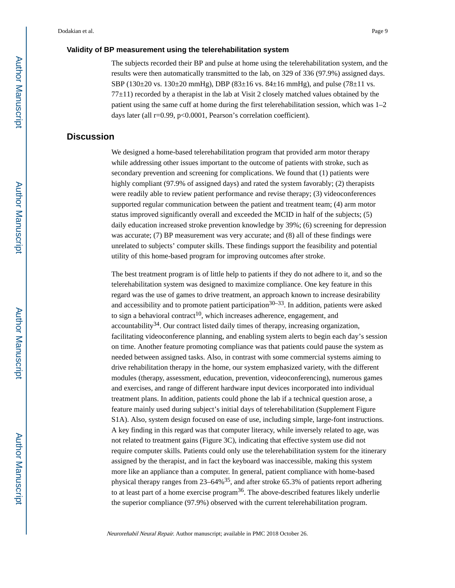#### **Validity of BP measurement using the telerehabilitation system**

The subjects recorded their BP and pulse at home using the telerehabilitation system, and the results were then automatically transmitted to the lab, on 329 of 336 (97.9%) assigned days. SBP (130 $\pm$ 20 vs. 130 $\pm$ 20 mmHg), DBP (83 $\pm$ 16 vs. 84 $\pm$ 16 mmHg), and pulse (78 $\pm$ 11 vs.  $77±11$ ) recorded by a therapist in the lab at Visit 2 closely matched values obtained by the patient using the same cuff at home during the first telerehabilitation session, which was 1–2 days later (all r=0.99, p<0.0001, Pearson's correlation coefficient).

# **Discussion**

We designed a home-based telerehabilitation program that provided arm motor therapy while addressing other issues important to the outcome of patients with stroke, such as secondary prevention and screening for complications. We found that (1) patients were highly compliant (97.9% of assigned days) and rated the system favorably; (2) therapists were readily able to review patient performance and revise therapy; (3) videoconferences supported regular communication between the patient and treatment team; (4) arm motor status improved significantly overall and exceeded the MCID in half of the subjects; (5) daily education increased stroke prevention knowledge by 39%; (6) screening for depression was accurate; (7) BP measurement was very accurate; and (8) all of these findings were unrelated to subjects' computer skills. These findings support the feasibility and potential utility of this home-based program for improving outcomes after stroke.

The best treatment program is of little help to patients if they do not adhere to it, and so the telerehabilitation system was designed to maximize compliance. One key feature in this regard was the use of games to drive treatment, an approach known to increase desirability and accessibility and to promote patient participation<sup>30–33</sup>. In addition, patients were asked to sign a behavioral contract<sup>10</sup>, which increases adherence, engagement, and  $\alpha$  accountability<sup>34</sup>. Our contract listed daily times of therapy, increasing organization, facilitating videoconference planning, and enabling system alerts to begin each day's session on time. Another feature promoting compliance was that patients could pause the system as needed between assigned tasks. Also, in contrast with some commercial systems aiming to drive rehabilitation therapy in the home, our system emphasized variety, with the different modules (therapy, assessment, education, prevention, videoconferencing), numerous games and exercises, and range of different hardware input devices incorporated into individual treatment plans. In addition, patients could phone the lab if a technical question arose, a feature mainly used during subject's initial days of telerehabilitation (Supplement Figure S1A). Also, system design focused on ease of use, including simple, large-font instructions. A key finding in this regard was that computer literacy, while inversely related to age, was not related to treatment gains (Figure 3C), indicating that effective system use did not require computer skills. Patients could only use the telerehabilitation system for the itinerary assigned by the therapist, and in fact the keyboard was inaccessible, making this system more like an appliance than a computer. In general, patient compliance with home-based physical therapy ranges from  $23-64\%$ <sup>35</sup>, and after stroke 65.3% of patients report adhering to at least part of a home exercise program<sup>36</sup>. The above-described features likely underlie the superior compliance (97.9%) observed with the current telerehabilitation program.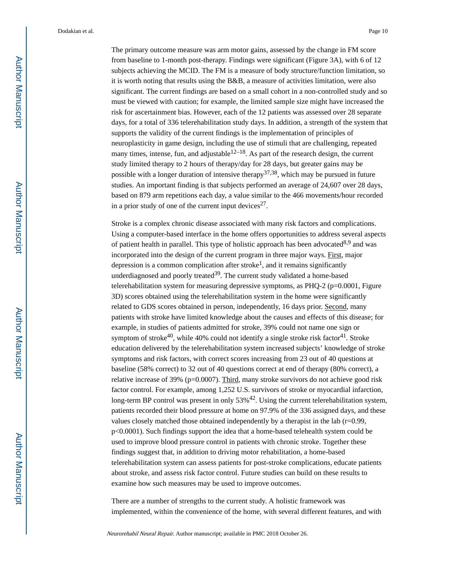The primary outcome measure was arm motor gains, assessed by the change in FM score from baseline to 1-month post-therapy. Findings were significant (Figure 3A), with 6 of 12 subjects achieving the MCID. The FM is a measure of body structure/function limitation, so it is worth noting that results using the B&B, a measure of activities limitation, were also significant. The current findings are based on a small cohort in a non-controlled study and so must be viewed with caution; for example, the limited sample size might have increased the risk for ascertainment bias. However, each of the 12 patients was assessed over 28 separate days, for a total of 336 telerehabilitation study days. In addition, a strength of the system that supports the validity of the current findings is the implementation of principles of neuroplasticity in game design, including the use of stimuli that are challenging, repeated many times, intense, fun, and adjustable  $12-18$ . As part of the research design, the current study limited therapy to 2 hours of therapy/day for 28 days, but greater gains may be possible with a longer duration of intensive therapy<sup>37,38</sup>, which may be pursued in future studies. An important finding is that subjects performed an average of 24,607 over 28 days, based on 879 arm repetitions each day, a value similar to the 466 movements/hour recorded in a prior study of one of the current input devices<sup>27</sup>.

Stroke is a complex chronic disease associated with many risk factors and complications. Using a computer-based interface in the home offers opportunities to address several aspects of patient health in parallel. This type of holistic approach has been advocated<sup>8,9</sup> and was incorporated into the design of the current program in three major ways. First, major depression is a common complication after stroke<sup>1</sup>, and it remains significantly underdiagnosed and poorly treated<sup>39</sup>. The current study validated a home-based telerehabilitation system for measuring depressive symptoms, as  $PHQ-2$  ( $p=0.0001$ , Figure 3D) scores obtained using the telerehabilitation system in the home were significantly related to GDS scores obtained in person, independently, 16 days prior. Second, many patients with stroke have limited knowledge about the causes and effects of this disease; for example, in studies of patients admitted for stroke, 39% could not name one sign or symptom of stroke<sup>40</sup>, while 40% could not identify a single stroke risk factor<sup>41</sup>. Stroke education delivered by the telerehabilitation system increased subjects' knowledge of stroke symptoms and risk factors, with correct scores increasing from 23 out of 40 questions at baseline (58% correct) to 32 out of 40 questions correct at end of therapy (80% correct), a relative increase of 39% (p=0.0007). Third, many stroke survivors do not achieve good risk factor control. For example, among 1,252 U.S. survivors of stroke or myocardial infarction, long-term BP control was present in only 53%<sup>42</sup>. Using the current telerehabilitation system, patients recorded their blood pressure at home on 97.9% of the 336 assigned days, and these values closely matched those obtained independently by a therapist in the lab (r=0.99, p<0.0001). Such findings support the idea that a home-based telehealth system could be used to improve blood pressure control in patients with chronic stroke. Together these findings suggest that, in addition to driving motor rehabilitation, a home-based telerehabilitation system can assess patients for post-stroke complications, educate patients about stroke, and assess risk factor control. Future studies can build on these results to examine how such measures may be used to improve outcomes.

There are a number of strengths to the current study. A holistic framework was implemented, within the convenience of the home, with several different features, and with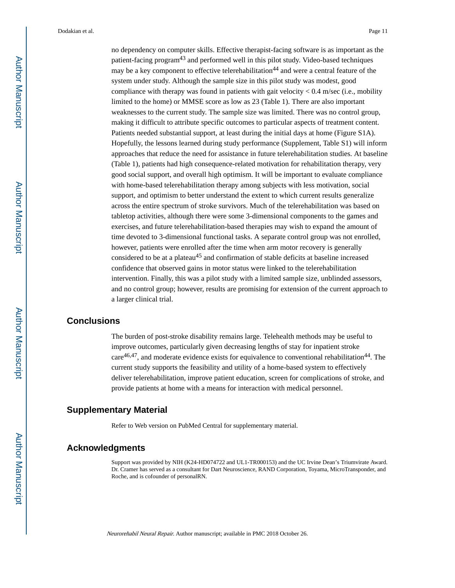no dependency on computer skills. Effective therapist-facing software is as important as the patient-facing program<sup>43</sup> and performed well in this pilot study. Video-based techniques may be a key component to effective telerehabilitation<sup>44</sup> and were a central feature of the system under study. Although the sample size in this pilot study was modest, good compliance with therapy was found in patients with gait velocity  $< 0.4$  m/sec (i.e., mobility limited to the home) or MMSE score as low as 23 (Table 1). There are also important weaknesses to the current study. The sample size was limited. There was no control group, making it difficult to attribute specific outcomes to particular aspects of treatment content. Patients needed substantial support, at least during the initial days at home (Figure S1A). Hopefully, the lessons learned during study performance (Supplement, Table S1) will inform approaches that reduce the need for assistance in future telerehabilitation studies. At baseline (Table 1), patients had high consequence-related motivation for rehabilitation therapy, very good social support, and overall high optimism. It will be important to evaluate compliance with home-based telerehabilitation therapy among subjects with less motivation, social support, and optimism to better understand the extent to which current results generalize across the entire spectrum of stroke survivors. Much of the telerehabilitation was based on tabletop activities, although there were some 3-dimensional components to the games and exercises, and future telerehabilitation-based therapies may wish to expand the amount of time devoted to 3-dimensional functional tasks. A separate control group was not enrolled, however, patients were enrolled after the time when arm motor recovery is generally considered to be at a plateau<sup>45</sup> and confirmation of stable deficits at baseline increased confidence that observed gains in motor status were linked to the telerehabilitation intervention. Finally, this was a pilot study with a limited sample size, unblinded assessors, and no control group; however, results are promising for extension of the current approach to a larger clinical trial.

## **Conclusions**

The burden of post-stroke disability remains large. Telehealth methods may be useful to improve outcomes, particularly given decreasing lengths of stay for inpatient stroke  $care<sup>46,47</sup>$ , and moderate evidence exists for equivalence to conventional rehabilitation<sup>44</sup>. The current study supports the feasibility and utility of a home-based system to effectively deliver telerehabilitation, improve patient education, screen for complications of stroke, and provide patients at home with a means for interaction with medical personnel.

## **Supplementary Material**

Refer to Web version on PubMed Central for supplementary material.

#### **Acknowledgments**

Support was provided by NIH (K24-HD074722 and UL1-TR000153) and the UC Irvine Dean's Triumvirate Award. Dr. Cramer has served as a consultant for Dart Neuroscience, RAND Corporation, Toyama, MicroTransponder, and Roche, and is cofounder of personalRN.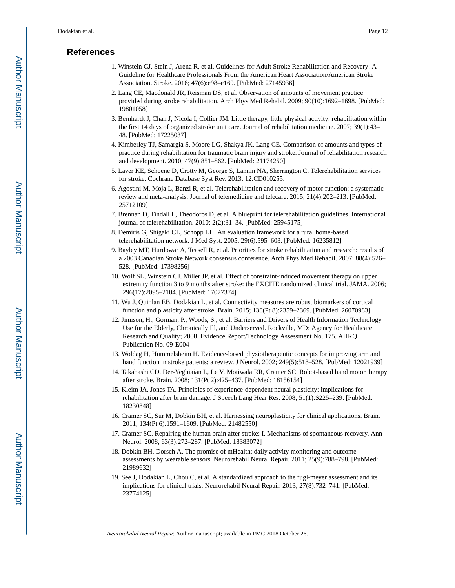# **References**

- 1. Winstein CJ, Stein J, Arena R, et al. Guidelines for Adult Stroke Rehabilitation and Recovery: A Guideline for Healthcare Professionals From the American Heart Association/American Stroke Association. Stroke. 2016; 47(6):e98–e169. [PubMed: 27145936]
- 2. Lang CE, Macdonald JR, Reisman DS, et al. Observation of amounts of movement practice provided during stroke rehabilitation. Arch Phys Med Rehabil. 2009; 90(10):1692–1698. [PubMed: 19801058]
- 3. Bernhardt J, Chan J, Nicola I, Collier JM. Little therapy, little physical activity: rehabilitation within the first 14 days of organized stroke unit care. Journal of rehabilitation medicine. 2007; 39(1):43– 48. [PubMed: 17225037]
- 4. Kimberley TJ, Samargia S, Moore LG, Shakya JK, Lang CE. Comparison of amounts and types of practice during rehabilitation for traumatic brain injury and stroke. Journal of rehabilitation research and development. 2010; 47(9):851–862. [PubMed: 21174250]
- 5. Laver KE, Schoene D, Crotty M, George S, Lannin NA, Sherrington C. Telerehabilitation services for stroke. Cochrane Database Syst Rev. 2013; 12:CD010255.
- 6. Agostini M, Moja L, Banzi R, et al. Telerehabilitation and recovery of motor function: a systematic review and meta-analysis. Journal of telemedicine and telecare. 2015; 21(4):202–213. [PubMed: 25712109]
- 7. Brennan D, Tindall L, Theodoros D, et al. A blueprint for telerehabilitation guidelines. International journal of telerehabilitation. 2010; 2(2):31–34. [PubMed: 25945175]
- 8. Demiris G, Shigaki CL, Schopp LH. An evaluation framework for a rural home-based telerehabilitation network. J Med Syst. 2005; 29(6):595–603. [PubMed: 16235812]
- 9. Bayley MT, Hurdowar A, Teasell R, et al. Priorities for stroke rehabilitation and research: results of a 2003 Canadian Stroke Network consensus conference. Arch Phys Med Rehabil. 2007; 88(4):526– 528. [PubMed: 17398256]
- 10. Wolf SL, Winstein CJ, Miller JP, et al. Effect of constraint-induced movement therapy on upper extremity function 3 to 9 months after stroke: the EXCITE randomized clinical trial. JAMA. 2006; 296(17):2095–2104. [PubMed: 17077374]
- 11. Wu J, Quinlan EB, Dodakian L, et al. Connectivity measures are robust biomarkers of cortical function and plasticity after stroke. Brain. 2015; 138(Pt 8):2359–2369. [PubMed: 26070983]
- 12. Jimison, H., Gorman, P., Woods, S., et al. Barriers and Drivers of Health Information Technology Use for the Elderly, Chronically Ill, and Underserved. Rockville, MD: Agency for Healthcare Research and Quality; 2008. Evidence Report/Technology Assessment No. 175. AHRQ Publication No. 09-E004
- 13. Woldag H, Hummelsheim H. Evidence-based physiotherapeutic concepts for improving arm and hand function in stroke patients: a review. J Neurol. 2002; 249(5):518–528. [PubMed: 12021939]
- 14. Takahashi CD, Der-Yeghiaian L, Le V, Motiwala RR, Cramer SC. Robot-based hand motor therapy after stroke. Brain. 2008; 131(Pt 2):425–437. [PubMed: 18156154]
- 15. Kleim JA, Jones TA. Principles of experience-dependent neural plasticity: implications for rehabilitation after brain damage. J Speech Lang Hear Res. 2008; 51(1):S225–239. [PubMed: 18230848]
- 16. Cramer SC, Sur M, Dobkin BH, et al. Harnessing neuroplasticity for clinical applications. Brain. 2011; 134(Pt 6):1591–1609. [PubMed: 21482550]
- 17. Cramer SC. Repairing the human brain after stroke: I. Mechanisms of spontaneous recovery. Ann Neurol. 2008; 63(3):272–287. [PubMed: 18383072]
- 18. Dobkin BH, Dorsch A. The promise of mHealth: daily activity monitoring and outcome assessments by wearable sensors. Neurorehabil Neural Repair. 2011; 25(9):788–798. [PubMed: 21989632]
- 19. See J, Dodakian L, Chou C, et al. A standardized approach to the fugl-meyer assessment and its implications for clinical trials. Neurorehabil Neural Repair. 2013; 27(8):732–741. [PubMed: 23774125]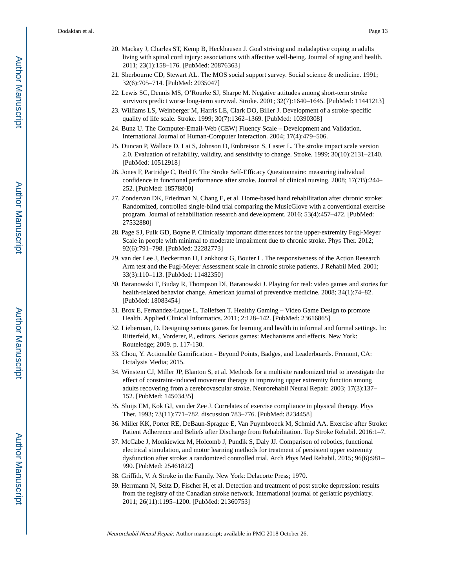- 20. Mackay J, Charles ST, Kemp B, Heckhausen J. Goal striving and maladaptive coping in adults living with spinal cord injury: associations with affective well-being. Journal of aging and health. 2011; 23(1):158–176. [PubMed: 20876363]
- 21. Sherbourne CD, Stewart AL. The MOS social support survey. Social science & medicine. 1991; 32(6):705–714. [PubMed: 2035047]
- 22. Lewis SC, Dennis MS, O'Rourke SJ, Sharpe M. Negative attitudes among short-term stroke survivors predict worse long-term survival. Stroke. 2001; 32(7):1640–1645. [PubMed: 11441213]
- 23. Williams LS, Weinberger M, Harris LE, Clark DO, Biller J. Development of a stroke-specific quality of life scale. Stroke. 1999; 30(7):1362–1369. [PubMed: 10390308]
- 24. Bunz U. The Computer-Email-Web (CEW) Fluency Scale Development and Validation. International Journal of Human-Computer Interaction. 2004; 17(4):479–506.
- 25. Duncan P, Wallace D, Lai S, Johnson D, Embretson S, Laster L. The stroke impact scale version 2.0. Evaluation of reliability, validity, and sensitivity to change. Stroke. 1999; 30(10):2131–2140. [PubMed: 10512918]
- 26. Jones F, Partridge C, Reid F. The Stroke Self-Efficacy Questionnaire: measuring individual confidence in functional performance after stroke. Journal of clinical nursing. 2008; 17(7B):244– 252. [PubMed: 18578800]
- 27. Zondervan DK, Friedman N, Chang E, et al. Home-based hand rehabilitation after chronic stroke: Randomized, controlled single-blind trial comparing the MusicGlove with a conventional exercise program. Journal of rehabilitation research and development. 2016; 53(4):457–472. [PubMed: 27532880]
- 28. Page SJ, Fulk GD, Boyne P. Clinically important differences for the upper-extremity Fugl-Meyer Scale in people with minimal to moderate impairment due to chronic stroke. Phys Ther. 2012; 92(6):791–798. [PubMed: 22282773]
- 29. van der Lee J, Beckerman H, Lankhorst G, Bouter L. The responsiveness of the Action Research Arm test and the Fugl-Meyer Assessment scale in chronic stroke patients. J Rehabil Med. 2001; 33(3):110–113. [PubMed: 11482350]
- 30. Baranowski T, Buday R, Thompson DI, Baranowski J. Playing for real: video games and stories for health-related behavior change. American journal of preventive medicine. 2008; 34(1):74–82. [PubMed: 18083454]
- 31. Brox E, Fernandez-Luque L, Tøllefsen T. Healthy Gaming Video Game Design to promote Health. Applied Clinical Informatics. 2011; 2:128–142. [PubMed: 23616865]
- 32. Lieberman, D. Designing serious games for learning and health in informal and formal settings. In: Ritterfeld, M., Vorderer, P., editors. Serious games: Mechanisms and effects. New York: Routeledge; 2009. p. 117-130.
- 33. Chou, Y. Actionable Gamification Beyond Points, Badges, and Leaderboards. Fremont, CA: Octalysis Media; 2015.
- 34. Winstein CJ, Miller JP, Blanton S, et al. Methods for a multisite randomized trial to investigate the effect of constraint-induced movement therapy in improving upper extremity function among adults recovering from a cerebrovascular stroke. Neurorehabil Neural Repair. 2003; 17(3):137– 152. [PubMed: 14503435]
- 35. Sluijs EM, Kok GJ, van der Zee J. Correlates of exercise compliance in physical therapy. Phys Ther. 1993; 73(11):771–782. discussion 783–776. [PubMed: 8234458]
- 36. Miller KK, Porter RE, DeBaun-Sprague E, Van Puymbroeck M, Schmid AA. Exercise after Stroke: Patient Adherence and Beliefs after Discharge from Rehabilitation. Top Stroke Rehabil. 2016:1–7.
- 37. McCabe J, Monkiewicz M, Holcomb J, Pundik S, Daly JJ. Comparison of robotics, functional electrical stimulation, and motor learning methods for treatment of persistent upper extremity dysfunction after stroke: a randomized controlled trial. Arch Phys Med Rehabil. 2015; 96(6):981– 990. [PubMed: 25461822]
- 38. Griffith, V. A Stroke in the Family. New York: Delacorte Press; 1970.
- 39. Herrmann N, Seitz D, Fischer H, et al. Detection and treatment of post stroke depression: results from the registry of the Canadian stroke network. International journal of geriatric psychiatry. 2011; 26(11):1195–1200. [PubMed: 21360753]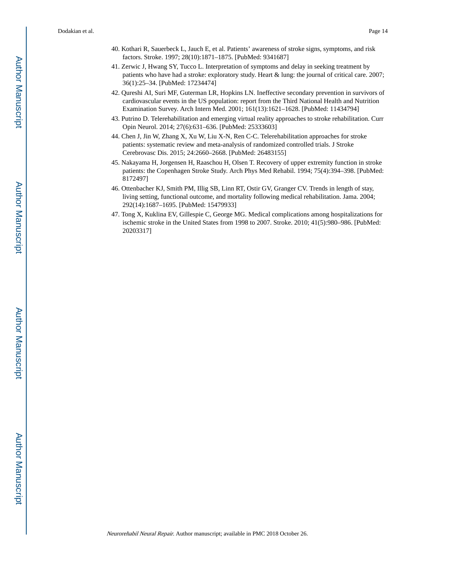- 40. Kothari R, Sauerbeck L, Jauch E, et al. Patients' awareness of stroke signs, symptoms, and risk factors. Stroke. 1997; 28(10):1871–1875. [PubMed: 9341687]
- 41. Zerwic J, Hwang SY, Tucco L. Interpretation of symptoms and delay in seeking treatment by patients who have had a stroke: exploratory study. Heart & lung: the journal of critical care. 2007; 36(1):25–34. [PubMed: 17234474]
- 42. Qureshi AI, Suri MF, Guterman LR, Hopkins LN. Ineffective secondary prevention in survivors of cardiovascular events in the US population: report from the Third National Health and Nutrition Examination Survey. Arch Intern Med. 2001; 161(13):1621–1628. [PubMed: 11434794]
- 43. Putrino D. Telerehabilitation and emerging virtual reality approaches to stroke rehabilitation. Curr Opin Neurol. 2014; 27(6):631–636. [PubMed: 25333603]
- 44. Chen J, Jin W, Zhang X, Xu W, Liu X-N, Ren C-C. Telerehabilitation approaches for stroke patients: systematic review and meta-analysis of randomized controlled trials. J Stroke Cerebrovasc Dis. 2015; 24:2660–2668. [PubMed: 26483155]
- 45. Nakayama H, Jorgensen H, Raaschou H, Olsen T. Recovery of upper extremity function in stroke patients: the Copenhagen Stroke Study. Arch Phys Med Rehabil. 1994; 75(4):394–398. [PubMed: 8172497]
- 46. Ottenbacher KJ, Smith PM, Illig SB, Linn RT, Ostir GV, Granger CV. Trends in length of stay, living setting, functional outcome, and mortality following medical rehabilitation. Jama. 2004; 292(14):1687–1695. [PubMed: 15479933]
- 47. Tong X, Kuklina EV, Gillespie C, George MG. Medical complications among hospitalizations for ischemic stroke in the United States from 1998 to 2007. Stroke. 2010; 41(5):980–986. [PubMed: 20203317]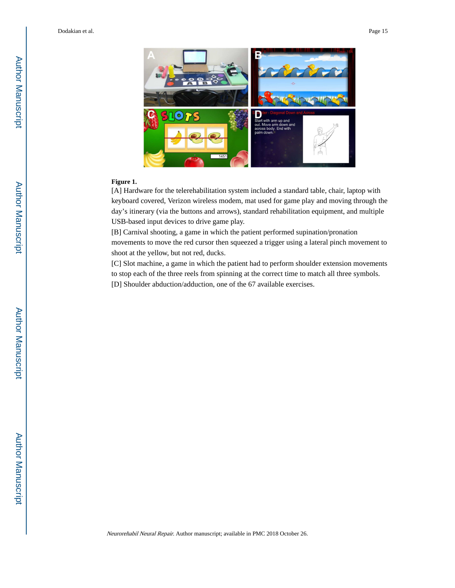

#### **Figure 1.**

[A] Hardware for the telerehabilitation system included a standard table, chair, laptop with keyboard covered, Verizon wireless modem, mat used for game play and moving through the day's itinerary (via the buttons and arrows), standard rehabilitation equipment, and multiple USB-based input devices to drive game play.

[B] Carnival shooting, a game in which the patient performed supination/pronation movements to move the red cursor then squeezed a trigger using a lateral pinch movement to shoot at the yellow, but not red, ducks.

[C] Slot machine, a game in which the patient had to perform shoulder extension movements to stop each of the three reels from spinning at the correct time to match all three symbols. [D] Shoulder abduction/adduction, one of the 67 available exercises.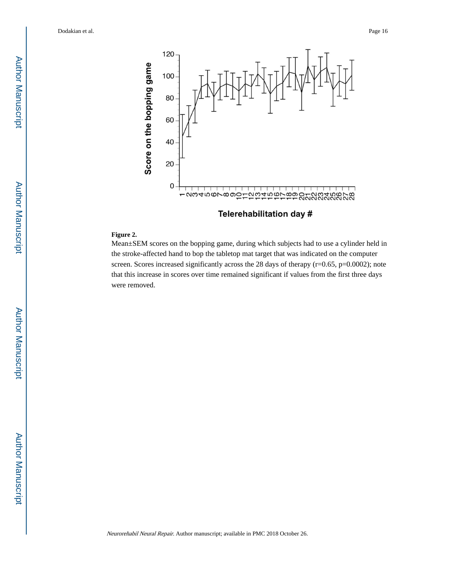

Telerehabilitation day #

#### **Figure 2.**

Mean±SEM scores on the bopping game, during which subjects had to use a cylinder held in the stroke-affected hand to bop the tabletop mat target that was indicated on the computer screen. Scores increased significantly across the 28 days of therapy (r=0.65, p=0.0002); note that this increase in scores over time remained significant if values from the first three days were removed.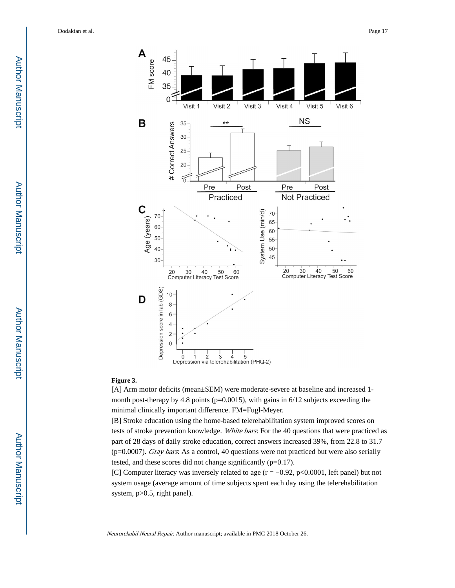

#### **Figure 3.**

[A] Arm motor deficits (mean±SEM) were moderate-severe at baseline and increased 1 month post-therapy by 4.8 points (p=0.0015), with gains in 6/12 subjects exceeding the minimal clinically important difference. FM=Fugl-Meyer.

[B] Stroke education using the home-based telerehabilitation system improved scores on tests of stroke prevention knowledge. White bars: For the 40 questions that were practiced as part of 28 days of daily stroke education, correct answers increased 39%, from 22.8 to 31.7  $(p=0.0007)$ . Gray bars: As a control, 40 questions were not practiced but were also serially tested, and these scores did not change significantly (p=0.17).

[C] Computer literacy was inversely related to age (r = −0.92, p<0.0001, left panel) but not system usage (average amount of time subjects spent each day using the telerehabilitation system,  $p>0.5$ , right panel).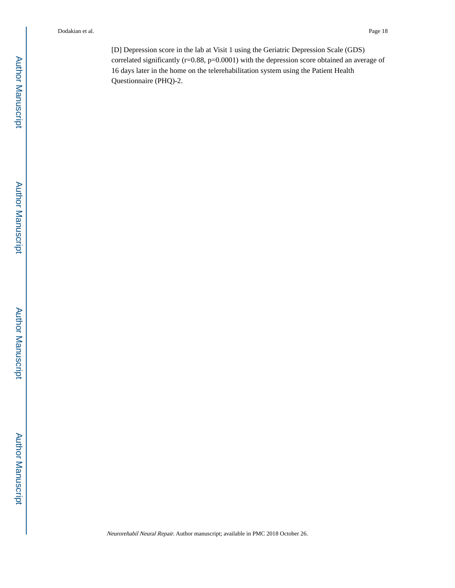[D] Depression score in the lab at Visit 1 using the Geriatric Depression Scale (GDS) correlated significantly (r=0.88, p=0.0001) with the depression score obtained an average of 16 days later in the home on the telerehabilitation system using the Patient Health Questionnaire (PHQ)-2.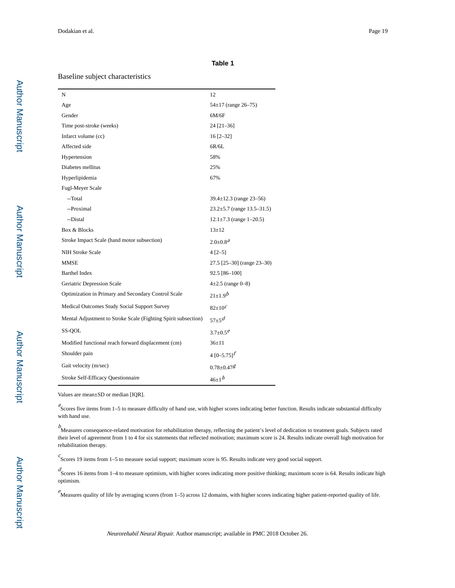#### **Table 1**

#### Baseline subject characteristics

| N                                                              | 12                               |
|----------------------------------------------------------------|----------------------------------|
| Age                                                            | $54\pm17$ (range 26-75)          |
| Gender                                                         | 6M/6F                            |
| Time post-stroke (weeks)                                       | $24$ [21-36]                     |
| Infarct volume (cc)                                            | $16$ [2-32]                      |
| Affected side                                                  | 6R/6L                            |
| Hypertension                                                   | 58%                              |
| Diabetes mellitus                                              | 25%                              |
| Hyperlipidemia                                                 | 67%                              |
| Fugl-Meyer Scale                                               |                                  |
| --Total                                                        | $39.4 \pm 12.3$ (range 23-56)    |
| --Proximal                                                     | $23.2 \pm 5.7$ (range 13.5–31.5) |
| --Distal                                                       | $12.1 \pm 7.3$ (range 1-20.5)    |
| Box & Blocks                                                   | $13 + 12$                        |
| Stroke Impact Scale (hand motor subsection)                    | $2.0 \pm 0.8^{\textit{a}}$       |
| <b>NIH Stroke Scale</b>                                        | $4 [2 - 5]$                      |
| <b>MMSE</b>                                                    | 27.5 [25-30] (range 23-30)       |
| <b>Barthel Index</b>                                           | 92.5 [86-100]                    |
| Geriatric Depression Scale                                     | $4\pm 2.5$ (range 0-8)           |
| Optimization in Primary and Secondary Control Scale            | $21+1.9b$                        |
| Medical Outcomes Study Social Support Survey                   | $82 \pm 10^{\circ}$              |
| Mental Adjustment to Stroke Scale (Fighting Spirit subsection) | $57+5d$                          |
| SS-QOL                                                         | $3.7 \pm 0.5^e$                  |
| Modified functional reach forward displacement (cm)            | $36 \pm 11$                      |
| Shoulder pain                                                  | 4 $[0 - 5.75]^{f}$               |
| Gait velocity (m/sec)                                          | $0.78 + 0.47$                    |
| Stroke Self-Efficacy Questionnaire                             | $46+1h$                          |

Values are mean±SD or median [IQR].

<sup>2</sup>Scores five items from 1–5 to measure difficulty of hand use, with higher scores indicating better function. Results indicate substantial difficulty with hand use.

b Measures consequence-related motivation for rehabilitation therapy, reflecting the patient's level of dedication to treatment goals. Subjects rated their level of agreement from 1 to 4 for six statements that reflected motivation; maximum score is 24. Results indicate overall high motivation for rehabilitation therapy.

 $c$ Scores 19 items from 1–5 to measure social support; maximum score is 95. Results indicate very good social support.

 $d$ <br>Scores 16 items from 1–4 to measure optimism, with higher scores indicating more positive thinking; maximum score is 64. Results indicate high optimism.

 $e^{\epsilon}$ Measures quality of life by averaging scores (from 1–5) across 12 domains, with higher scores indicating higher patient-reported quality of life.